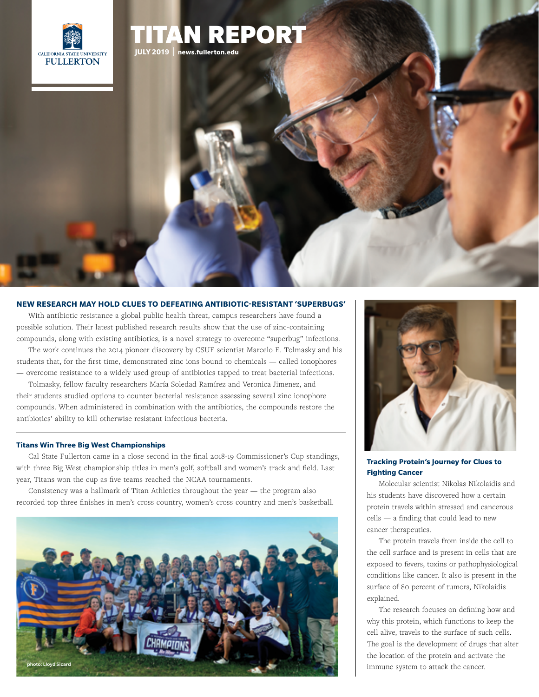

## **NEW RESEARCH MAY HOLD CLUES TO DEFEATING ANTIBIOTIC-RESISTANT 'SUPERBUGS'**

**JULY 2019** | **<news.fullerton.edu>**

REPORT

With antibiotic resistance a global public health threat, campus researchers have found a possible solution. Their latest published research results show that the use of zinc-containing compounds, along with existing antibiotics, is a novel strategy to overcome "superbug" infections.

The work continues the 2014 pioneer discovery by CSUF scientist Marcelo E. Tolmasky and his students that, for the first time, demonstrated zinc ions bound to chemicals — called ionophores — overcome resistance to a widely used group of antibiotics tapped to treat bacterial infections.

Tolmasky, fellow faculty researchers María Soledad Ramírez and Veronica Jimenez, and their students studied options to counter bacterial resistance assessing several zinc ionophore compounds. When administered in combination with the antibiotics, the compounds restore the antibiotics' ability to kill otherwise resistant infectious bacteria.

#### **Titans Win Three Big West Championships**

Cal State Fullerton came in a close second in the final 2018-19 Commissioner's Cup standings, with three Big West championship titles in men's golf, softball and women's track and field. Last year, Titans won the cup as five teams reached the NCAA tournaments.

Consistency was a hallmark of Titan Athletics throughout the year  $-$  the program also recorded top three finishes in men's cross country, women's cross country and men's basketball.





### **Tracking Protein's Journey for Clues to Fighting Cancer**

Molecular scientist Nikolas Nikolaidis and his students have discovered how a certain protein travels within stressed and cancerous cells — a finding that could lead to new cancer therapeutics.

The protein travels from inside the cell to the cell surface and is present in cells that are exposed to fevers, toxins or pathophysiological conditions like cancer. It also is present in the surface of 80 percent of tumors, Nikolaidis explained.

The research focuses on defining how and why this protein, which functions to keep the cell alive, travels to the surface of such cells. The goal is the development of drugs that alter the location of the protein and activate the immune system to attack the cancer.